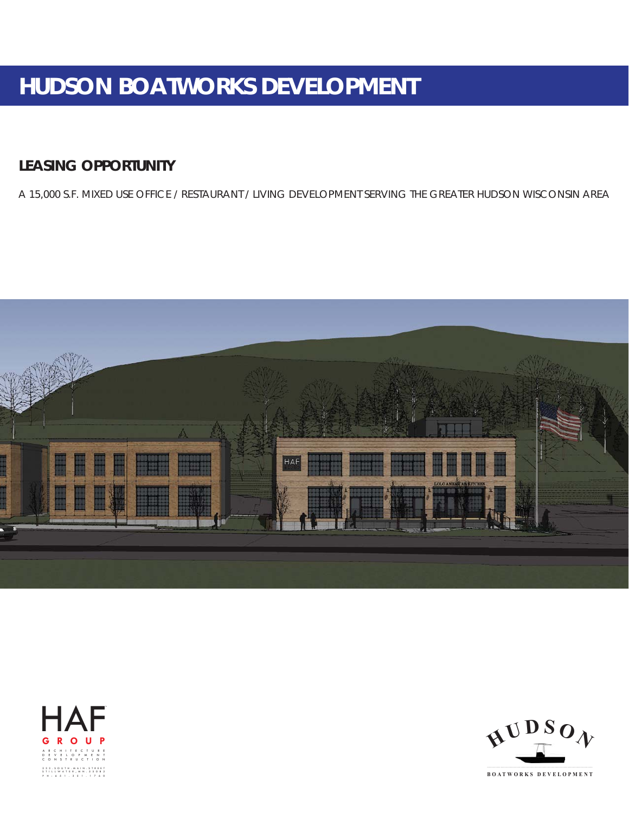# **HUDSON BOATWORKS DEVELOPMENT**

# **LEASING OPPORTUNITY**

A 15,000 S.F. MIXED USE OFFICE / RESTAURANT / LIVING DEVELOPMENT SERVING THE GREATER HUDSON WISCONSIN AREA







**BOATWORKS DEVELOPMENT**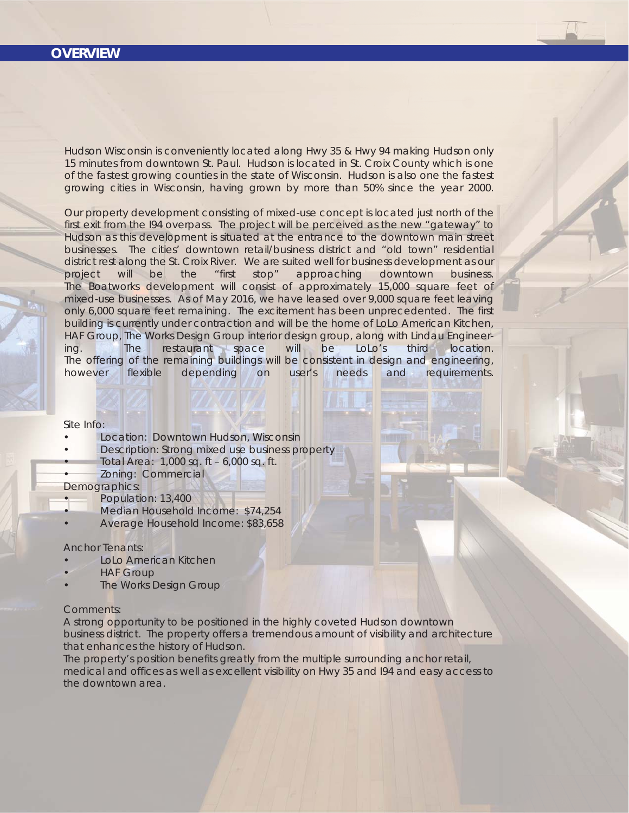## **OVERVIEW**

Hudson Wisconsin is conveniently located along Hwy 35 & Hwy 94 making Hudson only 15 minutes from downtown St. Paul. Hudson is located in St. Croix County which is one of the fastest growing counties in the state of Wisconsin. Hudson is also one the fastest growing cities in Wisconsin, having grown by more than 50% since the year 2000.

Our property development consisting of mixed-use concept is located just north of the first exit from the I94 overpass. The project will be perceived as the new "gateway" to Hudson as this development is situated at the entrance to the downtown main street businesses. The cities' downtown retail/business district and "old town" residential district rest along the St. Croix River. We are suited well for business development as our project will be the "first stop" approaching downtown business. The Boatworks development will consist of approximately 15,000 square feet of mixed-use businesses. As of May 2016, we have leased over 9,000 square feet leaving only 6,000 square feet remaining. The excitement has been unprecedented. The first building is currently under contraction and will be the home of LoLo American Kitchen, HAF Group, The Works Design Group interior design group, along with Lindau Engineering. The restaurant space will be LoLo's third location. The offering of the remaining buildings will be consistent in design and engineering, however flexible depending on user's needs and requirements.

#### Site Info:

- Location: Downtown Hudson, Wisconsin
	- Description: Strong mixed use business property • Total Area: 1,000 sq. ft – 6,000 sq. ft.
- Zoning: Commercial
- Demographics:
- Population: 13,400
- Median Household Income: \$74,254
- Average Household Income: \$83,658

#### Anchor Tenants:

- LoLo American Kitchen
- **HAF Group**
- The Works Design Group

### Comments:

A strong opportunity to be positioned in the highly coveted Hudson downtown business district. The property offers a tremendous amount of visibility and architecture that enhances the history of Hudson.

The property's position benefits greatly from the multiple surrounding anchor retail, medical and offices as well as excellent visibility on Hwy 35 and I94 and easy access to the downtown area.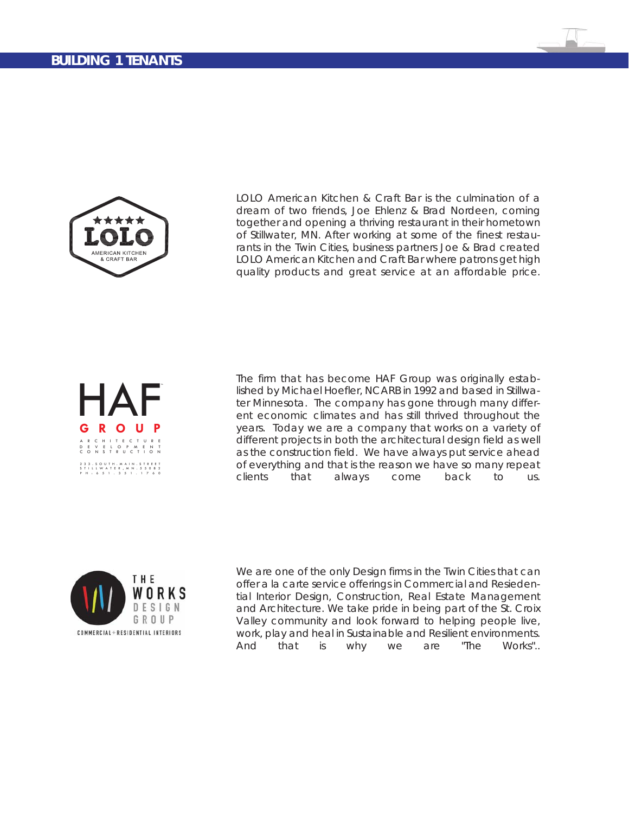## **BUILDING 1 TENANTS**



LOLO American Kitchen & Craft Bar is the culmination of a dream of two friends, Joe Ehlenz & Brad Nordeen, coming together and opening a thriving restaurant in their hometown of Stillwater, MN. After working at some of the finest restaurants in the Twin Cities, business partners Joe & Brad created LOLO American Kitchen and Craft Bar where patrons get high quality products and great service at an affordable price.



The firm that has become HAF Group was originally established by Michael Hoefler, NCARB in 1992 and based in Stillwater Minnesota. The company has gone through many different economic climates and has still thrived throughout the years. Today we are a company that works on a variety of different projects in both the architectural design field as well as the construction field. We have always put service ahead of everything and that is the reason we have so many repeat clients that always come back to us.



We are one of the only Design firms in the Twin Cities that can offer a la carte service offerings in Commercial and Resiedential Interior Design, Construction, Real Estate Management and Architecture. We take pride in being part of the St. Croix Valley community and look forward to helping people live, work, play and heal in Sustainable and Resilient environments. And that is why we are "The Works"..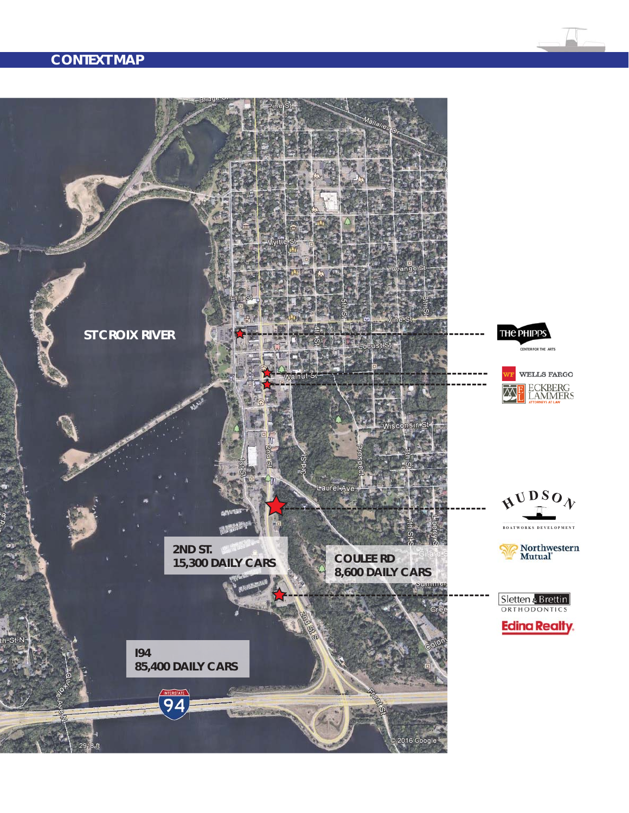# **CONTEXT MAP**

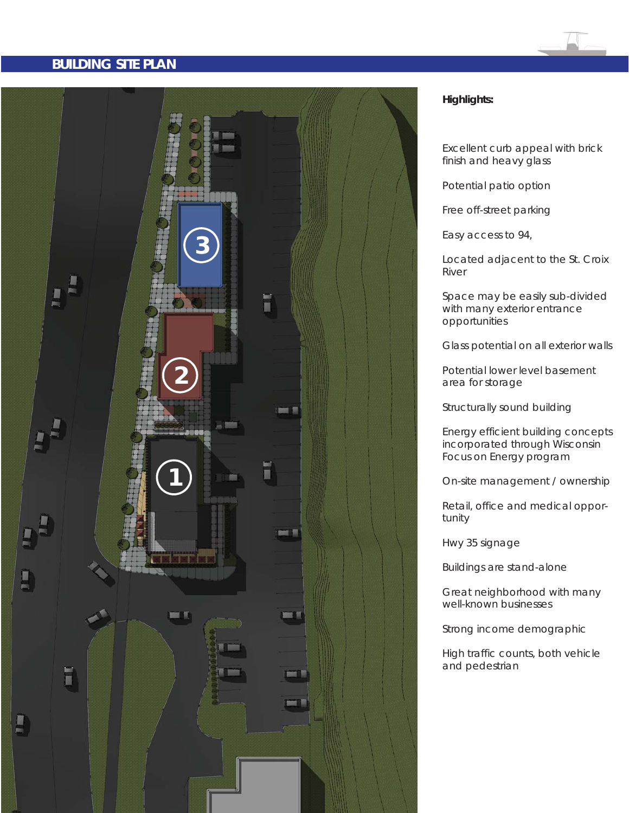## **BUILDING SITE PLAN**



## **Highlights:**

Excellent curb appeal with brick finish and heavy glass

Potential patio option

Free off-street parking

Easy access to 94,

Located adjacent to the St. Croix River

Space may be easily sub-divided with many exterior entrance opportunities

Glass potential on all exterior walls

Potential lower level basement area for storage

Structurally sound building

Energy efficient building concepts incorporated through Wisconsin Focus on Energy program

On-site management / ownership

Retail, office and medical opportunity

Hwy 35 signage

Buildings are stand-alone

Great neighborhood with many well-known businesses

Strong income demographic

High traffic counts, both vehicle and pedestrian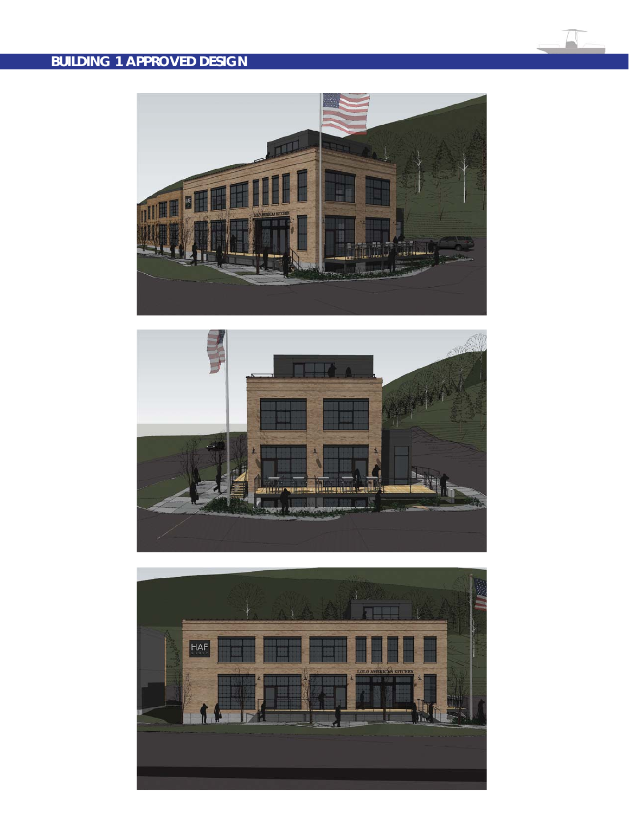# **BUILDING 1 APPROVED DESIGN**